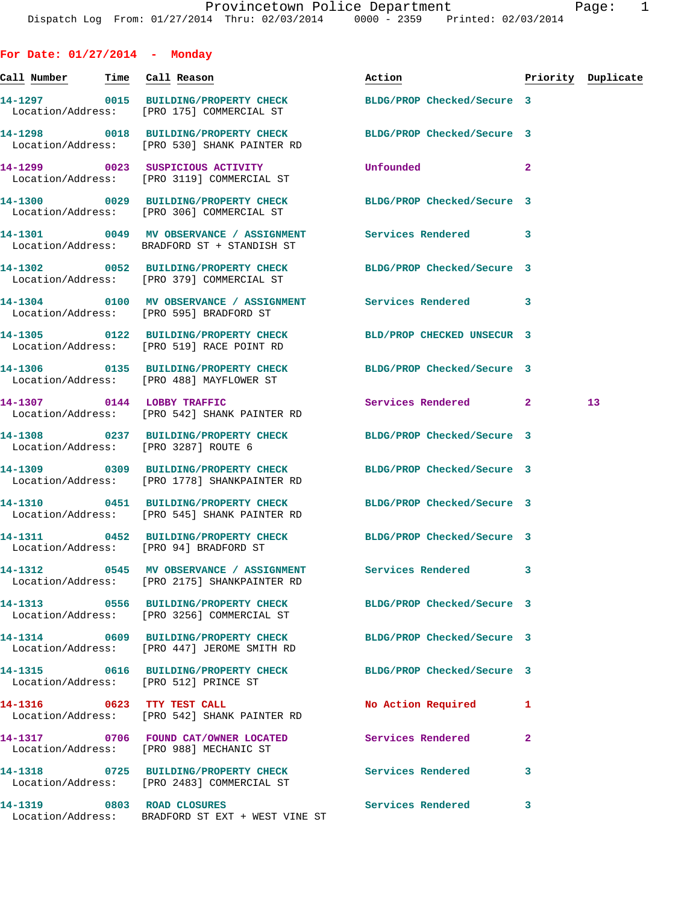**For Date: 01/27/2014 - Monday Call Number Time Call Reason Action Priority Duplicate 14-1297 0015 BUILDING/PROPERTY CHECK BLDG/PROP Checked/Secure 3**  Location/Address: [PRO 175] COMMERCIAL ST **14-1298 0018 BUILDING/PROPERTY CHECK BLDG/PROP Checked/Secure 3**  Location/Address: [PRO 530] SHANK PAINTER RD **14-1299 0023 SUSPICIOUS ACTIVITY Unfounded 2**  Location/Address: [PRO 3119] COMMERCIAL ST **14-1300 0029 BUILDING/PROPERTY CHECK BLDG/PROP Checked/Secure 3**  Location/Address: [PRO 306] COMMERCIAL ST **14-1301 0049 MV OBSERVANCE / ASSIGNMENT Services Rendered 3**  Location/Address: BRADFORD ST + STANDISH ST **14-1302 0052 BUILDING/PROPERTY CHECK BLDG/PROP Checked/Secure 3**  Location/Address: [PRO 379] COMMERCIAL ST **14-1304 0100 MV OBSERVANCE / ASSIGNMENT Services Rendered 3**  Location/Address: [PRO 595] BRADFORD ST **14-1305 0122 BUILDING/PROPERTY CHECK BLD/PROP CHECKED UNSECUR 3**  Location/Address: [PRO 519] RACE POINT RD **14-1306 0135 BUILDING/PROPERTY CHECK BLDG/PROP Checked/Secure 3**  Location/Address: [PRO 488] MAYFLOWER ST **14-1307 0144 LOBBY TRAFFIC Services Rendered 2 13**  Location/Address: [PRO 542] SHANK PAINTER RD **14-1308 0237 BUILDING/PROPERTY CHECK BLDG/PROP Checked/Secure 3**  Location/Address: [PRO 3287] ROUTE 6 **14-1309 0309 BUILDING/PROPERTY CHECK BLDG/PROP Checked/Secure 3**  Location/Address: [PRO 1778] SHANKPAINTER RD **14-1310 0451 BUILDING/PROPERTY CHECK BLDG/PROP Checked/Secure 3**  Location/Address: [PRO 545] SHANK PAINTER RD **14-1311 0452 BUILDING/PROPERTY CHECK BLDG/PROP Checked/Secure 3**  Location/Address: [PRO 94] BRADFORD ST **14-1312 0545 MV OBSERVANCE / ASSIGNMENT Services Rendered 3**  Location/Address: [PRO 2175] SHANKPAINTER RD **14-1313 0556 BUILDING/PROPERTY CHECK BLDG/PROP Checked/Secure 3**  Location/Address: [PRO 3256] COMMERCIAL ST **14-1314 0609 BUILDING/PROPERTY CHECK BLDG/PROP Checked/Secure 3**  Location/Address: [PRO 447] JEROME SMITH RD **14-1315 0616 BUILDING/PROPERTY CHECK BLDG/PROP Checked/Secure 3**  Location/Address: [PRO 512] PRINCE ST **14-1316 0623 TTY TEST CALL No Action Required 1**  Location/Address: [PRO 542] SHANK PAINTER RD **14-1317 0706 FOUND CAT/OWNER LOCATED Services Rendered 2**  Location/Address: [PRO 988] MECHANIC ST **14-1318 0725 BUILDING/PROPERTY CHECK Services Rendered 3**  Location/Address: [PRO 2483] COMMERCIAL ST

**14-1319 0803 ROAD CLOSURES Services Rendered 3**  Location/Address: BRADFORD ST EXT + WEST VINE ST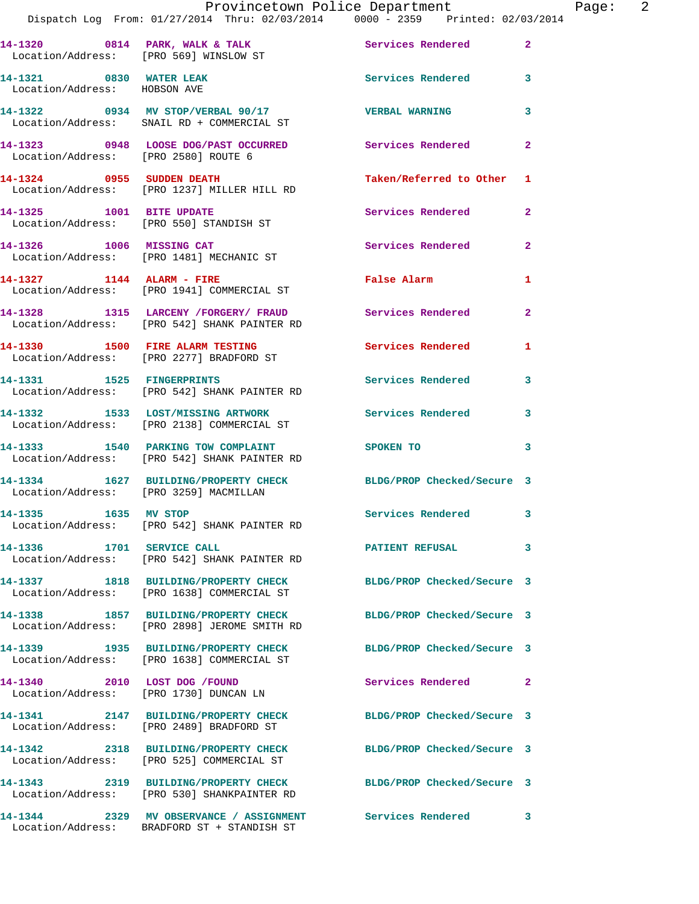|                                                                        | Provincetown Police Department                                                                           |                            |                |
|------------------------------------------------------------------------|----------------------------------------------------------------------------------------------------------|----------------------------|----------------|
|                                                                        | Dispatch Log From: 01/27/2014 Thru: 02/03/2014 0000 - 2359 Printed: 02/03/2014                           |                            |                |
|                                                                        | 14-1320 0814 PARK, WALK & TALK Services Rendered<br>Location/Address: [PRO 569] WINSLOW ST               |                            | $\mathbf{2}$   |
| 14-1321 0830 WATER LEAK<br>Location/Address: HOBSON AVE                |                                                                                                          | <b>Services Rendered</b>   | 3              |
|                                                                        | 14-1322 0934 MV STOP/VERBAL 90/17<br>Location/Address: SNAIL RD + COMMERCIAL ST                          | <b>VERBAL WARNING</b>      | 3              |
| Location/Address: [PRO 2580] ROUTE 6                                   | 14-1323 0948 LOOSE DOG/PAST OCCURRED                                                                     | Services Rendered          | $\mathbf{2}$   |
|                                                                        | 14-1324 0955 SUDDEN DEATH<br>Location/Address: [PRO 1237] MILLER HILL RD                                 | Taken/Referred to Other    | 1              |
| 14-1325 1001 BITE UPDATE<br>Location/Address: [PRO 550] STANDISH ST    |                                                                                                          | Services Rendered          | $\mathbf{2}$   |
| 14-1326 1006 MISSING CAT                                               | Location/Address: [PRO 1481] MECHANIC ST                                                                 | <b>Services Rendered</b>   | $\overline{a}$ |
|                                                                        | 14-1327 1144 ALARM - FIRE<br>Location/Address: [PRO 1941] COMMERCIAL ST                                  | False Alarm                | 1              |
|                                                                        | 14-1328 1315 LARCENY / FORGERY / FRAUD Services Rendered<br>Location/Address: [PRO 542] SHANK PAINTER RD |                            | $\overline{a}$ |
|                                                                        | 14-1330 1500 FIRE ALARM TESTING<br>Location/Address: [PRO 2277] BRADFORD ST                              | <b>Services Rendered</b>   | 1              |
| 14-1331 1525 FINGERPRINTS                                              | Location/Address: [PRO 542] SHANK PAINTER RD                                                             | <b>Services Rendered</b>   | 3              |
|                                                                        | 14-1332 1533 LOST/MISSING ARTWORK<br>Location/Address: [PRO 2138] COMMERCIAL ST                          | <b>Services Rendered</b>   | 3              |
|                                                                        | 14-1333 1540 PARKING TOW COMPLAINT<br>Location/Address: [PRO 542] SHANK PAINTER RD                       | <b>SPOKEN TO</b>           | 3              |
| Location/Address: [PRO 3259] MACMILLAN                                 | 14-1334 1627 BUILDING/PROPERTY CHECK                                                                     | BLDG/PROP Checked/Secure 3 |                |
| 14-1335 1635 MV STOP                                                   | Location/Address: [PRO 542] SHANK PAINTER RD                                                             | Services Rendered          |                |
| 14-1336 1701 SERVICE CALL                                              | Location/Address: [PRO 542] SHANK PAINTER RD                                                             | <b>PATIENT REFUSAL</b>     | 3              |
|                                                                        | 14-1337 1818 BUILDING/PROPERTY CHECK<br>Location/Address: [PRO 1638] COMMERCIAL ST                       | BLDG/PROP Checked/Secure 3 |                |
|                                                                        | 14-1338 1857 BUILDING/PROPERTY CHECK<br>Location/Address: [PRO 2898] JEROME SMITH RD                     | BLDG/PROP Checked/Secure 3 |                |
|                                                                        | 14-1339 1935 BUILDING/PROPERTY CHECK<br>Location/Address: [PRO 1638] COMMERCIAL ST                       | BLDG/PROP Checked/Secure 3 |                |
| 14-1340 2010 LOST DOG /FOUND<br>Location/Address: [PRO 1730] DUNCAN LN |                                                                                                          | Services Rendered          | 2              |
|                                                                        | 14-1341 2147 BUILDING/PROPERTY CHECK<br>Location/Address: [PRO 2489] BRADFORD ST                         | BLDG/PROP Checked/Secure 3 |                |
|                                                                        | 14-1342 2318 BUILDING/PROPERTY CHECK<br>Location/Address: [PRO 525] COMMERCIAL ST                        | BLDG/PROP Checked/Secure 3 |                |
|                                                                        | 14-1343 2319 BUILDING/PROPERTY CHECK<br>Location/Address: [PRO 530] SHANKPAINTER RD                      | BLDG/PROP Checked/Secure 3 |                |
| 14-1344                                                                | 2329 MV OBSERVANCE / ASSIGNMENT Services Rendered                                                        |                            | 3              |

Location/Address: BRADFORD ST + STANDISH ST

Page:  $2$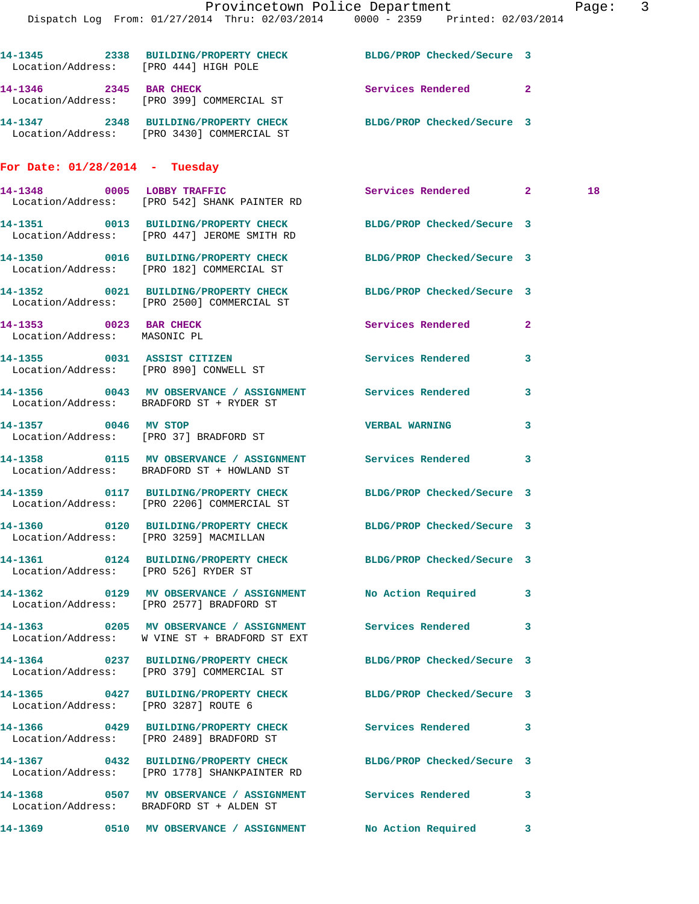|                                                        | Provincetown Police Department Page: 3<br>Dispatch Log From: 01/27/2014 Thru: 02/03/2014 0000 - 2359 Printed: 02/03/2014 |                            |              |    |  |
|--------------------------------------------------------|--------------------------------------------------------------------------------------------------------------------------|----------------------------|--------------|----|--|
| Location/Address: [PRO 444] HIGH POLE                  | 14-1345 2338 BUILDING/PROPERTY CHECK BLDG/PROP Checked/Secure 3                                                          |                            |              |    |  |
|                                                        | 14-1346 2345 BAR CHECK<br>Location/Address: [PRO 399] COMMERCIAL ST                                                      | Services Rendered 2        |              |    |  |
|                                                        | 14-1347 2348 BUILDING/PROPERTY CHECK BLDG/PROP Checked/Secure 3<br>Location/Address: [PRO 3430] COMMERCIAL ST            |                            |              |    |  |
| For Date: $01/28/2014$ - Tuesday                       |                                                                                                                          |                            |              |    |  |
|                                                        | 14-1348 0005 LOBBY TRAFFIC<br>Location/Address: [PRO 542] SHANK PAINTER RD                                               | Services Rendered 2        |              | 18 |  |
|                                                        | 14-1351 0013 BUILDING/PROPERTY CHECK BLDG/PROP Checked/Secure 3<br>Location/Address: [PRO 447] JEROME SMITH RD           |                            |              |    |  |
|                                                        | 14-1350 0016 BUILDING/PROPERTY CHECK BLDG/PROP Checked/Secure 3<br>Location/Address: [PRO 182] COMMERCIAL ST             |                            |              |    |  |
|                                                        | 14-1352 0021 BUILDING/PROPERTY CHECK BLDG/PROP Checked/Secure 3<br>Location/Address: [PRO 2500] COMMERCIAL ST            |                            |              |    |  |
| 14-1353 0023 BAR CHECK<br>Location/Address: MASONIC PL |                                                                                                                          | Services Rendered          | $\mathbf{2}$ |    |  |
| Location/Address: [PRO 890] CONWELL ST                 | 14-1355 0031 ASSIST CITIZEN                                                                                              | Services Rendered          | 3            |    |  |
|                                                        | Location/Address: BRADFORD ST + RYDER ST                                                                                 |                            | 3            |    |  |
|                                                        | 14-1357 0046 MV STOP<br>Location/Address: [PRO 37] BRADFORD ST                                                           | <b>VERBAL WARNING</b>      | 3            |    |  |
|                                                        | 14-1358 0115 MV OBSERVANCE / ASSIGNMENT Services Rendered<br>Location/Address: BRADFORD ST + HOWLAND ST                  |                            | 3            |    |  |
|                                                        | 14-1359 0117 BUILDING/PROPERTY CHECK BLDG/PROP Checked/Secure 3<br>Location/Address: [PRO 2206] COMMERCIAL ST            |                            |              |    |  |
| Location/Address: [PRO 3259] MACMILLAN                 | 14-1360 0120 BUILDING/PROPERTY CHECK BLDG/PROP Checked/Secure 3                                                          |                            |              |    |  |
| Location/Address: [PRO 526] RYDER ST                   | 14-1361  0124 BUILDING/PROPERTY CHECK BLDG/PROP Checked/Secure 3                                                         |                            |              |    |  |
|                                                        | 14-1362 0129 MV OBSERVANCE / ASSIGNMENT No Action Required 3<br>Location/Address: [PRO 2577] BRADFORD ST                 |                            |              |    |  |
|                                                        | 14-1363 0205 MV OBSERVANCE / ASSIGNMENT<br>Location/Address: W VINE ST + BRADFORD ST EXT                                 | <b>Services Rendered</b>   | 3            |    |  |
|                                                        | 14-1364 0237 BUILDING/PROPERTY CHECK BLDG/PROP Checked/Secure 3<br>Location/Address: [PRO 379] COMMERCIAL ST             |                            |              |    |  |
| Location/Address: [PRO 3287] ROUTE 6                   | 14-1365 0427 BUILDING/PROPERTY CHECK BLDG/PROP Checked/Secure 3                                                          |                            |              |    |  |
|                                                        | 14-1366 0429 BUILDING/PROPERTY CHECK Services Rendered 3<br>Location/Address: [PRO 2489] BRADFORD ST                     |                            |              |    |  |
|                                                        | 14-1367 0432 BUILDING/PROPERTY CHECK<br>Location/Address: [PRO 1778] SHANKPAINTER RD                                     | BLDG/PROP Checked/Secure 3 |              |    |  |
|                                                        | 14-1368 6507 MV OBSERVANCE / ASSIGNMENT Services Rendered<br>Location/Address: BRADFORD ST + ALDEN ST                    |                            | 3            |    |  |
|                                                        |                                                                                                                          |                            |              |    |  |

**14-1369 0510 MV OBSERVANCE / ASSIGNMENT No Action Required 3**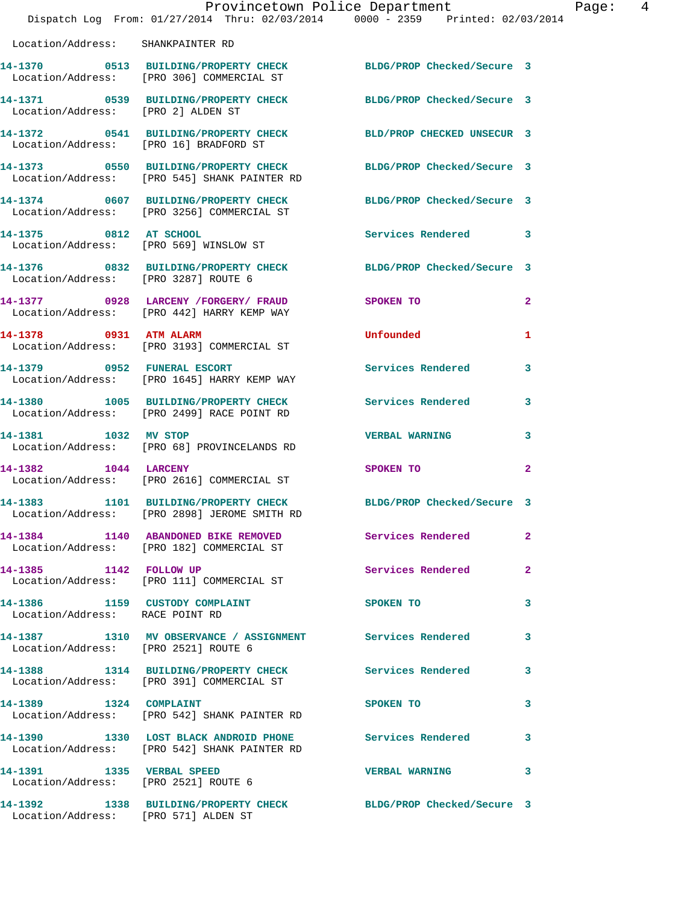|                                      | Dispatch Log From: 01/27/2014 Thru: 02/03/2014 0000 - 2359 Printed: 02/03/2014                                          | Provincetown Police Department Page: 4                                                                         |              |
|--------------------------------------|-------------------------------------------------------------------------------------------------------------------------|----------------------------------------------------------------------------------------------------------------|--------------|
| Location/Address: SHANKPAINTER RD    |                                                                                                                         |                                                                                                                |              |
|                                      | 14-1370 0513 BUILDING/PROPERTY CHECK BLDG/PROP Checked/Secure 3<br>Location/Address: [PRO 306] COMMERCIAL ST            |                                                                                                                |              |
|                                      | 14-1371   0539   BUILDING/PROPERTY CHECK   BLDG/PROP Checked/Secure   3<br>Location/Address: [PRO 2] ALDEN ST           |                                                                                                                |              |
|                                      | 14-1372 0541 BUILDING/PROPERTY CHECK BLD/PROP CHECKED UNSECUR 3<br>Location/Address: [PRO 16] BRADFORD ST               |                                                                                                                |              |
|                                      | 14-1373   0550   BUILDING/PROPERTY CHECK   BLDG/PROP Checked/Secure   3<br>Location/Address: [PRO 545] SHANK PAINTER RD |                                                                                                                |              |
|                                      | 14-1374 0607 BUILDING/PROPERTY CHECK BLDG/PROP Checked/Secure 3<br>Location/Address: [PRO 3256] COMMERCIAL ST           |                                                                                                                |              |
|                                      | 14-1375 0812 AT SCHOOL<br>Location/Address: [PRO 569] WINSLOW ST                                                        | Services Rendered 3                                                                                            |              |
| Location/Address: [PRO 3287] ROUTE 6 | 14-1376 0832 BUILDING/PROPERTY CHECK BLDG/PROP Checked/Secure 3                                                         |                                                                                                                |              |
|                                      | 14-1377 0928 LARCENY / FORGERY / FRAUD SPOKEN TO<br>Location/Address: [PRO 442] HARRY KEMP WAY                          |                                                                                                                | $\mathbf{2}$ |
|                                      | 14-1378 0931 ATM ALARM<br>Location/Address: [PRO 3193] COMMERCIAL ST                                                    | Unfounded                                                                                                      | 1            |
|                                      | 14-1379 0952 FUNERAL ESCORT<br>Location/Address: [PRO 1645] HARRY KEMP WAY                                              | Services Rendered 3                                                                                            |              |
|                                      | 14-1380 1005 BUILDING/PROPERTY CHECK<br>Location/Address: [PRO 2499] RACE POINT RD                                      | Services Rendered                                                                                              | 3            |
| 14-1381 1032 MV STOP                 | Location/Address: [PRO 68] PROVINCELANDS RD                                                                             | <b>VERBAL WARNING</b>                                                                                          | 3            |
|                                      | 14-1382 1044 LARCENY<br>Location/Address: [PRO 2616] COMMERCIAL ST                                                      | SPOKEN TO THE STREET OF THE STREET OF THE STREET OF THE STREET OF THE STREET OF THE STREET OF THE STREET OF TH | $\mathbf{2}$ |
|                                      | 14-1383 1101 BUILDING/PROPERTY CHECK<br>Location/Address: [PRO 2898] JEROME SMITH RD                                    | BLDG/PROP Checked/Secure 3                                                                                     |              |
|                                      | 14-1384 1140 ABANDONED BIKE REMOVED Services Rendered<br>Location/Address: [PRO 182] COMMERCIAL ST                      |                                                                                                                | $\mathbf{2}$ |
| 14-1385 1142 FOLLOW UP               | Location/Address: [PRO 111] COMMERCIAL ST                                                                               | Services Rendered                                                                                              | $\mathbf{2}$ |
| Location/Address: RACE POINT RD      | 14-1386 1159 CUSTODY COMPLAINT                                                                                          | SPOKEN TO                                                                                                      | 3            |
| Location/Address: [PRO 2521] ROUTE 6 | 14-1387 1310 MV OBSERVANCE / ASSIGNMENT Services Rendered 3                                                             |                                                                                                                |              |
|                                      | 14-1388 1314 BUILDING/PROPERTY CHECK Services Rendered<br>Location/Address: [PRO 391] COMMERCIAL ST                     |                                                                                                                | 3            |
| 14-1389   1324   COMPLAINT           | Location/Address: [PRO 542] SHANK PAINTER RD                                                                            | SPOKEN TO                                                                                                      | 3            |
|                                      | 14-1390 1330 LOST BLACK ANDROID PHONE Services Rendered<br>Location/Address: [PRO 542] SHANK PAINTER RD                 |                                                                                                                | 3            |
| 14-1391 1335 VERBAL SPEED            | Location/Address: [PRO 2521] ROUTE 6                                                                                    | VERBAL WARNING 3                                                                                               |              |
|                                      | 14-1392 1338 BUILDING/PROPERTY CHECK BLDG/PROP Checked/Secure 3                                                         |                                                                                                                |              |

Location/Address: [PRO 571] ALDEN ST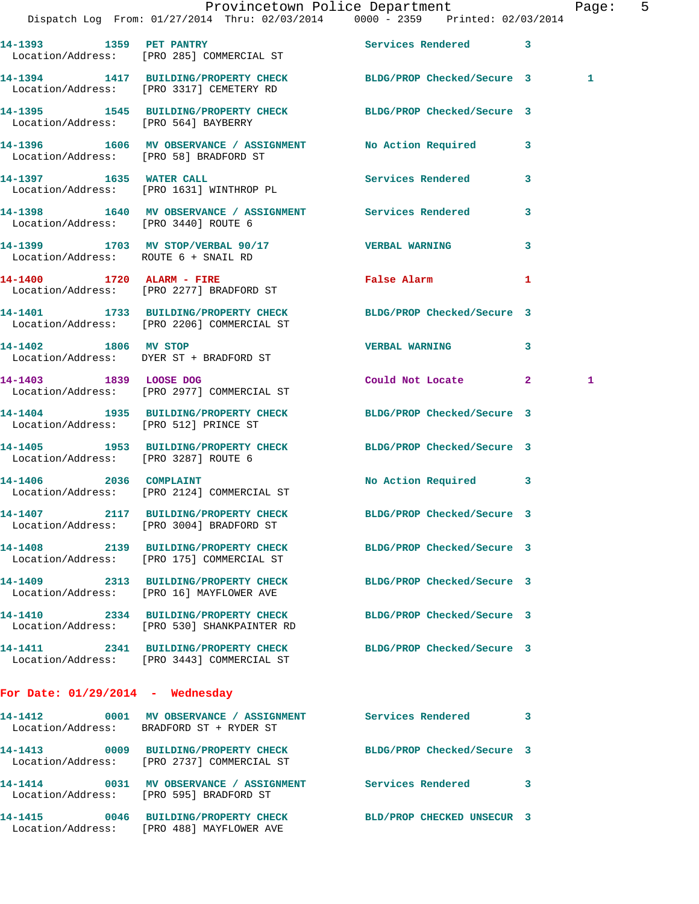|                                        |                                                                                     | Provincetown Police Department<br>Dispatch Log From: 01/27/2014 Thru: 02/03/2014 0000 - 2359 Printed: 02/03/2014 | Page: 5                 |
|----------------------------------------|-------------------------------------------------------------------------------------|------------------------------------------------------------------------------------------------------------------|-------------------------|
|                                        | 14-1393 1359 PET PANTRY<br>Location/Address: [PRO 285] COMMERCIAL ST                | Services Rendered 3                                                                                              |                         |
|                                        | Location/Address: [PRO 3317] CEMETERY RD                                            | 14-1394 1417 BUILDING/PROPERTY CHECK BLDG/PROP Checked/Secure 3                                                  | 1                       |
|                                        |                                                                                     | 14-1395 1545 BUILDING/PROPERTY CHECK BLDG/PROP Checked/Secure 3<br>Location/Address: [PRO 564] BAYBERRY          |                         |
| Location/Address: [PRO 58] BRADFORD ST |                                                                                     | 14-1396 1606 MV OBSERVANCE / ASSIGNMENT No Action Required 3                                                     |                         |
|                                        | 14-1397 1635 WATER CALL<br>Location/Address: [PRO 1631] WINTHROP PL                 | Services Rendered 3                                                                                              |                         |
| Location/Address: [PRO 3440] ROUTE 6   |                                                                                     | 14-1398 1640 MV OBSERVANCE / ASSIGNMENT Services Rendered 3                                                      |                         |
|                                        | Location/Address: ROUTE 6 + SNAIL RD                                                | 14-1399 1703 MV STOP/VERBAL 90/17 7 VERBAL WARNING                                                               | $\overline{\mathbf{3}}$ |
|                                        | 14-1400 1720 ALARM - FIRE<br>Location/Address: [PRO 2277] BRADFORD ST               | False Alarm                                                                                                      | 1                       |
|                                        | Location/Address: [PRO 2206] COMMERCIAL ST                                          | 14-1401 1733 BUILDING/PROPERTY CHECK BLDG/PROP Checked/Secure 3                                                  |                         |
|                                        | 14-1402 1806 MV STOP<br>Location/Address: DYER ST + BRADFORD ST                     | <b>VERBAL WARNING</b>                                                                                            | 3                       |
| 14-1403 1839 LOOSE DOG                 | Location/Address: [PRO 2977] COMMERCIAL ST                                          | Could Not Locate 2                                                                                               | 1                       |
| Location/Address: [PRO 512] PRINCE ST  |                                                                                     | 14-1404 1935 BUILDING/PROPERTY CHECK BLDG/PROP Checked/Secure 3                                                  |                         |
| Location/Address: [PRO 3287] ROUTE 6   |                                                                                     | 14-1405 1953 BUILDING/PROPERTY CHECK BLDG/PROP Checked/Secure 3                                                  |                         |
|                                        | 14-1406 2036 COMPLAINT<br>Location/Address: [PRO 2124] COMMERCIAL ST                | No Action Required 3                                                                                             |                         |
|                                        | 14-1407 2117 BUILDING/PROPERTY CHECK<br>Location/Address: [PRO 3004] BRADFORD ST    | BLDG/PROP Checked/Secure 3                                                                                       |                         |
|                                        | Location/Address: [PRO 175] COMMERCIAL ST                                           | 14-1408 2139 BUILDING/PROPERTY CHECK BLDG/PROP Checked/Secure 3                                                  |                         |
|                                        | 14-1409 2313 BUILDING/PROPERTY CHECK<br>Location/Address: [PRO 16] MAYFLOWER AVE    | BLDG/PROP Checked/Secure 3                                                                                       |                         |
|                                        | 14-1410 2334 BUILDING/PROPERTY CHECK<br>Location/Address: [PRO 530] SHANKPAINTER RD | BLDG/PROP Checked/Secure 3                                                                                       |                         |
|                                        | Location/Address: [PRO 3443] COMMERCIAL ST                                          | 14-1411 2341 BUILDING/PROPERTY CHECK BLDG/PROP Checked/Secure 3                                                  |                         |
| For Date: $01/29/2014$ - Wednesday     |                                                                                     |                                                                                                                  |                         |
|                                        | Location/Address: BRADFORD ST + RYDER ST                                            | 14-1412 0001 MV OBSERVANCE / ASSIGNMENT Services Rendered 3                                                      |                         |
|                                        | 14-1413 0009 BUILDING/PROPERTY CHECK<br>Location/Address: [PRO 2737] COMMERCIAL ST  | BLDG/PROP Checked/Secure 3                                                                                       |                         |
|                                        | Location/Address: [PRO 595] BRADFORD ST                                             | 14-1414 0031 MV OBSERVANCE / ASSIGNMENT Services Rendered 3                                                      |                         |
|                                        | Location/Address: [PRO 488] MAYFLOWER AVE                                           | 14-1415 0046 BUILDING/PROPERTY CHECK BLD/PROP CHECKED UNSECUR 3                                                  |                         |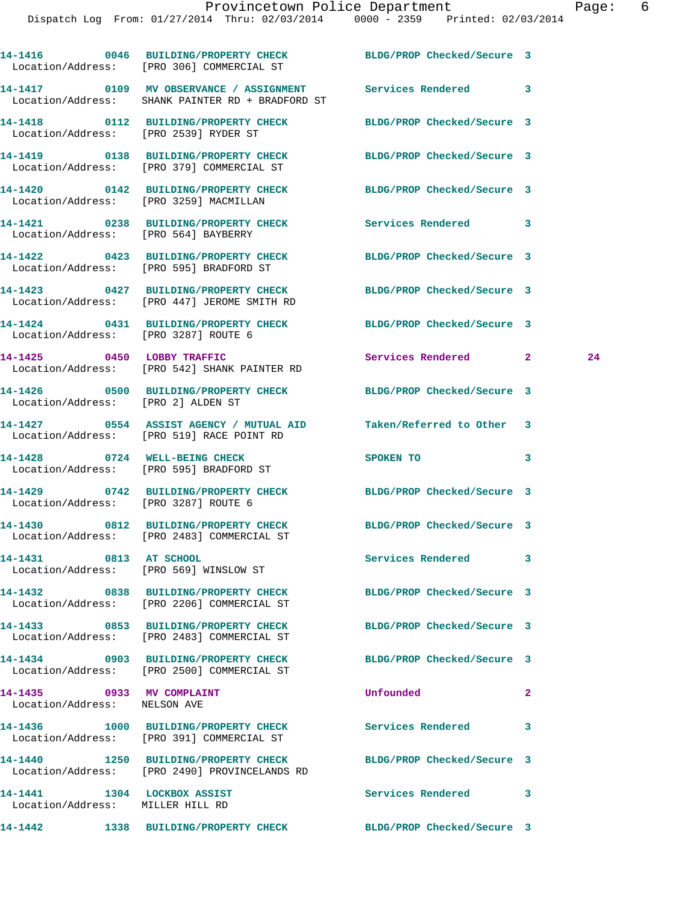|                                                                 | 14-1416 0046 BUILDING/PROPERTY CHECK BLDG/PROP Checked/Secure 3<br>Location/Address: [PRO 306] COMMERCIAL ST          |                            |              |    |
|-----------------------------------------------------------------|-----------------------------------------------------------------------------------------------------------------------|----------------------------|--------------|----|
|                                                                 | 14-1417   0109 MV OBSERVANCE / ASSIGNMENT   Services Rendered   3<br>Location/Address: SHANK PAINTER RD + BRADFORD ST |                            |              |    |
|                                                                 | 14-1418 0112 BUILDING/PROPERTY CHECK BLDG/PROP Checked/Secure 3<br>Location/Address: [PRO 2539] RYDER ST              |                            |              |    |
|                                                                 | 14-1419 0138 BUILDING/PROPERTY CHECK BLDG/PROP Checked/Secure 3<br>Location/Address: [PRO 379] COMMERCIAL ST          |                            |              |    |
|                                                                 | 14-1420 0142 BUILDING/PROPERTY CHECK BLDG/PROP Checked/Secure 3<br>Location/Address: [PRO 3259] MACMILLAN             |                            |              |    |
|                                                                 | 14-1421 0238 BUILDING/PROPERTY CHECK Services Rendered 3<br>Location/Address: [PRO 564] BAYBERRY                      |                            |              |    |
|                                                                 | 14-1422 0423 BUILDING/PROPERTY CHECK BLDG/PROP Checked/Secure 3<br>Location/Address: [PRO 595] BRADFORD ST            |                            |              |    |
|                                                                 | 14-1423 0427 BUILDING/PROPERTY CHECK BLDG/PROP Checked/Secure 3<br>Location/Address: [PRO 447] JEROME SMITH RD        |                            |              |    |
|                                                                 | 14-1424 0431 BUILDING/PROPERTY CHECK BLDG/PROP Checked/Secure 3<br>Location/Address: [PRO 3287] ROUTE 6               |                            |              |    |
|                                                                 | 14-1425 0450 LOBBY TRAFFIC<br>Location/Address: [PRO 542] SHANK PAINTER RD                                            | Services Rendered 2        |              | 24 |
| Location/Address: [PRO 2] ALDEN ST                              | 14-1426 0500 BUILDING/PROPERTY CHECK BLDG/PROP Checked/Secure 3                                                       |                            |              |    |
|                                                                 | 14-1427 0554 ASSIST AGENCY / MUTUAL AID Taken/Referred to Other 3<br>Location/Address: [PRO 519] RACE POINT RD        |                            |              |    |
|                                                                 | 14-1428 0724 WELL-BEING CHECK<br>Location/Address: [PRO 595] BRADFORD ST                                              | <b>SPOKEN TO</b>           | 3            |    |
|                                                                 | 14-1429 0742 BUILDING/PROPERTY CHECK BLDG/PROP Checked/Secure 3<br>Location/Address: [PRO 3287] ROUTE 6               |                            |              |    |
|                                                                 | 14-1430 0812 BUILDING/PROPERTY CHECK BLDG/PROP Checked/Secure 3<br>Location/Address: [PRO 2483] COMMERCIAL ST         |                            |              |    |
| 14-1431<br>0813 AT SCHOOL                                       | Location/Address: [PRO 569] WINSLOW ST                                                                                | Services Rendered          | 3            |    |
|                                                                 | 14-1432 0838 BUILDING/PROPERTY CHECK BLDG/PROP Checked/Secure 3<br>Location/Address: [PRO 2206] COMMERCIAL ST         |                            |              |    |
|                                                                 | 14-1433 0853 BUILDING/PROPERTY CHECK<br>Location/Address: [PRO 2483] COMMERCIAL ST                                    | BLDG/PROP Checked/Secure 3 |              |    |
|                                                                 | 14-1434 0903 BUILDING/PROPERTY CHECK<br>Location/Address: [PRO 2500] COMMERCIAL ST                                    | BLDG/PROP Checked/Secure 3 |              |    |
| 14-1435 0933 MV COMPLAINT<br>Location/Address: NELSON AVE       |                                                                                                                       | Unfounded                  | $\mathbf{2}$ |    |
|                                                                 | 14-1436 1000 BUILDING/PROPERTY CHECK<br>Location/Address: [PRO 391] COMMERCIAL ST                                     | Services Rendered          | 3            |    |
|                                                                 | 14-1440 1250 BUILDING/PROPERTY CHECK<br>Location/Address: [PRO 2490] PROVINCELANDS RD                                 | BLDG/PROP Checked/Secure 3 |              |    |
| 14-1441 1304 LOCKBOX ASSIST<br>Location/Address: MILLER HILL RD |                                                                                                                       | Services Rendered          | 3            |    |
| 14-1442                                                         | 1338 BUILDING/PROPERTY CHECK                                                                                          | BLDG/PROP Checked/Secure 3 |              |    |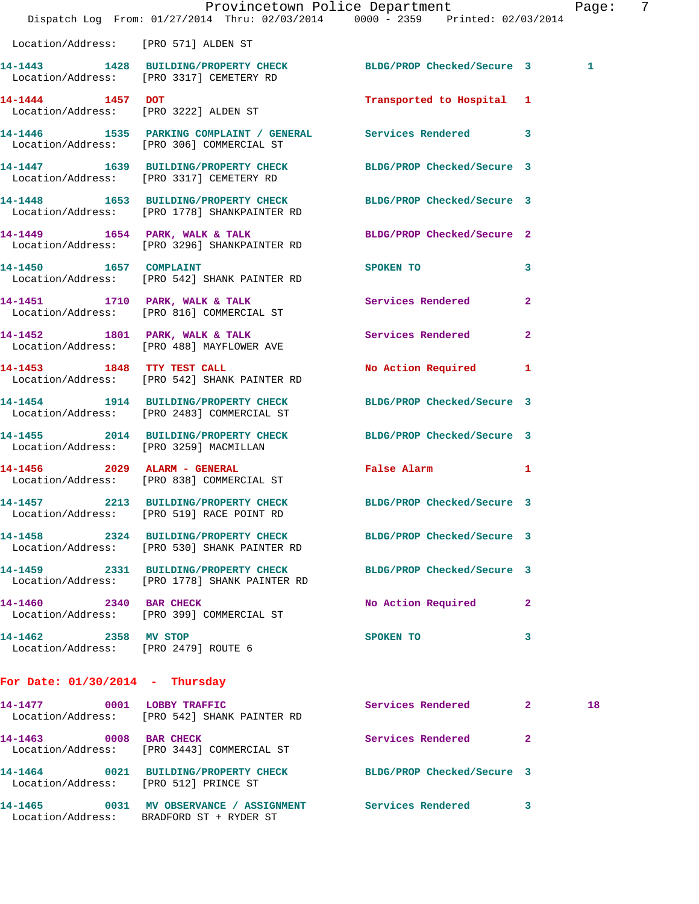| Location/Address: [PRO 571] ALDEN ST<br>Location/Address: [PRO 3317] CEMETERY RD<br>Location/Address: [PRO 3222] ALDEN ST<br>Location/Address: [PRO 306] COMMERCIAL ST<br>Location/Address: [PRO 3317] CEMETERY RD<br>Location/Address: [PRO 1778] SHANKPAINTER RD<br>Location/Address: [PRO 3296] SHANKPAINTER RD | 14-1443 1428 BUILDING/PROPERTY CHECK BLDG/PROP Checked/Secure 3<br>Transported to Hospital 1<br>14-1446 1535 PARKING COMPLAINT / GENERAL Services Rendered 3<br>14-1447 1639 BUILDING/PROPERTY CHECK BLDG/PROP Checked/Secure 3<br>14-1448 1653 BUILDING/PROPERTY CHECK BLDG/PROP Checked/Secure 3 |                                                                              | 1                                                                                                                                                 |  |
|--------------------------------------------------------------------------------------------------------------------------------------------------------------------------------------------------------------------------------------------------------------------------------------------------------------------|----------------------------------------------------------------------------------------------------------------------------------------------------------------------------------------------------------------------------------------------------------------------------------------------------|------------------------------------------------------------------------------|---------------------------------------------------------------------------------------------------------------------------------------------------|--|
|                                                                                                                                                                                                                                                                                                                    |                                                                                                                                                                                                                                                                                                    |                                                                              |                                                                                                                                                   |  |
|                                                                                                                                                                                                                                                                                                                    |                                                                                                                                                                                                                                                                                                    |                                                                              |                                                                                                                                                   |  |
|                                                                                                                                                                                                                                                                                                                    |                                                                                                                                                                                                                                                                                                    |                                                                              |                                                                                                                                                   |  |
|                                                                                                                                                                                                                                                                                                                    |                                                                                                                                                                                                                                                                                                    |                                                                              |                                                                                                                                                   |  |
|                                                                                                                                                                                                                                                                                                                    |                                                                                                                                                                                                                                                                                                    |                                                                              |                                                                                                                                                   |  |
|                                                                                                                                                                                                                                                                                                                    |                                                                                                                                                                                                                                                                                                    |                                                                              |                                                                                                                                                   |  |
|                                                                                                                                                                                                                                                                                                                    | 14-1449 1654 PARK, WALK & TALK BLDG/PROP Checked/Secure 2                                                                                                                                                                                                                                          |                                                                              |                                                                                                                                                   |  |
| 14-1450 1657 COMPLAINT<br>Location/Address: [PRO 542] SHANK PAINTER RD                                                                                                                                                                                                                                             | SPOKEN TO THE STATE OF THE STATE OF THE STATE OF THE STATE OF THE STATE OF THE STATE OF THE STATE OF THE STATE OF THE STATE OF THE STATE OF THE STATE OF THE STATE OF THE STATE OF THE STATE OF THE STATE OF THE STATE OF THE                                                                      | $\mathbf{3}$                                                                 |                                                                                                                                                   |  |
| 14-1451 1710 PARK, WALK & TALK<br>Location/Address: [PRO 816] COMMERCIAL ST                                                                                                                                                                                                                                        | Services Rendered 2                                                                                                                                                                                                                                                                                |                                                                              |                                                                                                                                                   |  |
| 14-1452 1801 PARK, WALK & TALK<br>Location/Address: [PRO 488] MAYFLOWER AVE                                                                                                                                                                                                                                        | Services Rendered                                                                                                                                                                                                                                                                                  | $\mathbf{2}$                                                                 |                                                                                                                                                   |  |
| 14-1453 1848 TTY TEST CALL<br>Location/Address: [PRO 542] SHANK PAINTER RD                                                                                                                                                                                                                                         | No Action Required 1                                                                                                                                                                                                                                                                               |                                                                              |                                                                                                                                                   |  |
| 14-1454 1914 BUILDING/PROPERTY CHECK<br>Location/Address: [PRO 2483] COMMERCIAL ST                                                                                                                                                                                                                                 | BLDG/PROP Checked/Secure 3                                                                                                                                                                                                                                                                         |                                                                              |                                                                                                                                                   |  |
| Location/Address: [PRO 3259] MACMILLAN                                                                                                                                                                                                                                                                             | 14-1455 2014 BUILDING/PROPERTY CHECK BLDG/PROP Checked/Secure 3                                                                                                                                                                                                                                    |                                                                              |                                                                                                                                                   |  |
| 14-1456  2029 ALARM - GENERAL<br>Location/Address: [PRO 838] COMMERCIAL ST                                                                                                                                                                                                                                         | False Alarm 1                                                                                                                                                                                                                                                                                      |                                                                              |                                                                                                                                                   |  |
| Location/Address: [PRO 519] RACE POINT RD                                                                                                                                                                                                                                                                          |                                                                                                                                                                                                                                                                                                    |                                                                              |                                                                                                                                                   |  |
| Location/Address: [PRO 530] SHANK PAINTER RD                                                                                                                                                                                                                                                                       |                                                                                                                                                                                                                                                                                                    |                                                                              |                                                                                                                                                   |  |
| Location/Address: [PRO 1778] SHANK PAINTER RD                                                                                                                                                                                                                                                                      |                                                                                                                                                                                                                                                                                                    |                                                                              |                                                                                                                                                   |  |
| Location/Address: [PRO 399] COMMERCIAL ST                                                                                                                                                                                                                                                                          |                                                                                                                                                                                                                                                                                                    | 2                                                                            |                                                                                                                                                   |  |
|                                                                                                                                                                                                                                                                                                                    | SPOKEN TO                                                                                                                                                                                                                                                                                          | 3                                                                            |                                                                                                                                                   |  |
|                                                                                                                                                                                                                                                                                                                    | Location/Address: [PRO 2479] ROUTE 6                                                                                                                                                                                                                                                               | 14-1458 2324 BUILDING/PROPERTY CHECK<br>14-1459 2331 BUILDING/PROPERTY CHECK | 14-1457 2213 BUILDING/PROPERTY CHECK BLDG/PROP Checked/Secure 3<br>BLDG/PROP Checked/Secure 3<br>BLDG/PROP Checked/Secure 3<br>No Action Required |  |

**14-1477 0001 LOBBY TRAFFIC Services Rendered 2 18**  Location/Address: [PRO 542] SHANK PAINTER RD **14-1463** 0008 BAR CHECK **14-1463** Services Rendered 2 Location/Address: [PRO 3443] COMMERCIAL ST **14-1464 0021 BUILDING/PROPERTY CHECK BLDG/PROP Checked/Secure 3**  Location/Address: [PRO 512] PRINCE ST **14-1465 0031 MV OBSERVANCE / ASSIGNMENT Services Rendered 3**  Location/Address: BRADFORD ST + RYDER ST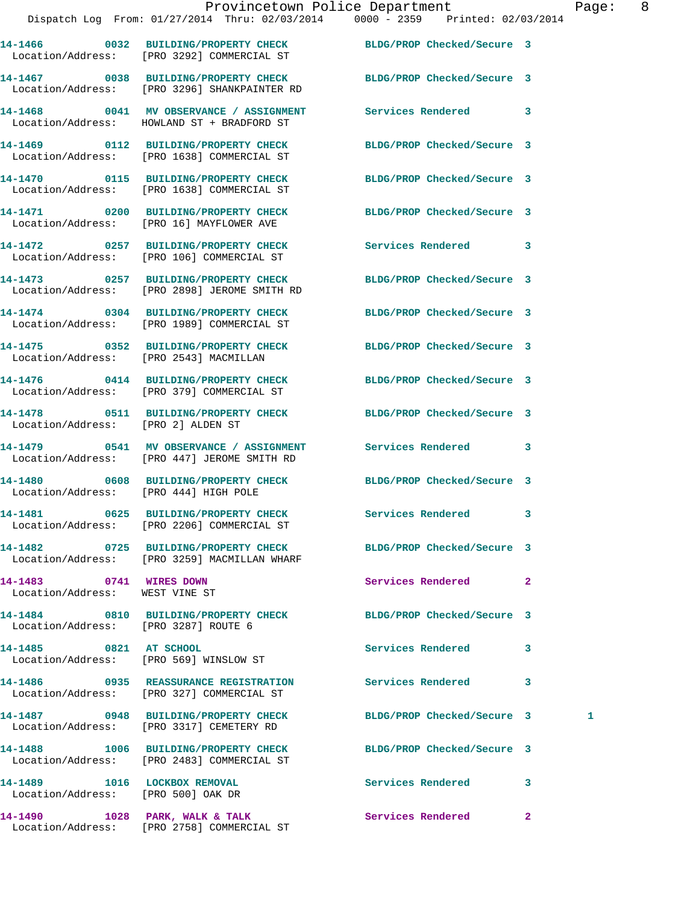**14-1466 0032 BUILDING/PROPERTY CHECK BLDG/PROP Checked/Secure 3**  Location/Address: [PRO 3292] COMMERCIAL ST

**14-1467 0038 BUILDING/PROPERTY CHECK BLDG/PROP Checked/Secure 3**  Location/Address: [PRO 3296] SHANKPAINTER RD

**14-1469 0112 BUILDING/PROPERTY CHECK BLDG/PROP Checked/Secure 3** 

**14-1471 0200 BUILDING/PROPERTY CHECK BLDG/PROP Checked/Secure 3**  Location/Address: [PRO 16] MAYFLOWER AVE

Location/Address: [PRO 106] COMMERCIAL ST

Location/Address: [PRO 2543] MACMILLAN

Location/Address: [PRO 2] ALDEN ST

Location/Address: [PRO 447] JEROME SMITH RD

Location/Address: [PRO 3259] MACMILLAN WHARF

Location/Address: WEST VINE ST

**14-1484 0810 BUILDING/PROPERTY CHECK BLDG/PROP Checked/Secure 3**  Location/Address: [PRO 3287] ROUTE 6

Location/Address: [PRO 569] WINSLOW ST

Location/Address: [PRO 3317] CEMETERY RD

**14-1488 1006 BUILDING/PROPERTY CHECK BLDG/PROP Checked/Secure 3** 

**14-1489 1016 LOCKBOX REMOVAL Services Rendered 3** 

**14-1468 0041 MV OBSERVANCE / ASSIGNMENT Services Rendered 3**  Location/Address: HOWLAND ST + BRADFORD ST

Location/Address: [PRO 1638] COMMERCIAL ST

Location/Address: [PRO 1638] COMMERCIAL ST

**14-1473 0257 BUILDING/PROPERTY CHECK BLDG/PROP Checked/Secure 3**  Location/Address: [PRO 2898] JEROME SMITH RD

Location/Address: [PRO 1989] COMMERCIAL ST

**14-1476 0414 BUILDING/PROPERTY CHECK BLDG/PROP Checked/Secure 3**  Location/Address: [PRO 379] COMMERCIAL ST

Location/Address: [PRO 444] HIGH POLE

Location/Address: [PRO 2206] COMMERCIAL ST

**14-1486 0935 REASSURANCE REGISTRATION Services Rendered 3**  Location/Address: [PRO 327] COMMERCIAL ST

Location/Address: [PRO 2483] COMMERCIAL ST

Location/Address: [PRO 500] OAK DR

**14-1490 1028 PARK, WALK & TALK Services Rendered 2**  Location/Address: [PRO 2758] COMMERCIAL ST

**14-1470 0115 BUILDING/PROPERTY CHECK BLDG/PROP Checked/Secure 3** 

**14-1472 0257 BUILDING/PROPERTY CHECK Services Rendered 3** 

**14-1474 0304 BUILDING/PROPERTY CHECK BLDG/PROP Checked/Secure 3** 

**14-1475 0352 BUILDING/PROPERTY CHECK BLDG/PROP Checked/Secure 3** 

**14-1478 0511 BUILDING/PROPERTY CHECK BLDG/PROP Checked/Secure 3** 

**14-1479 0541 MV OBSERVANCE / ASSIGNMENT Services Rendered 3** 

**14-1480 0608 BUILDING/PROPERTY CHECK BLDG/PROP Checked/Secure 3** 

**14-1481 0625 BUILDING/PROPERTY CHECK Services Rendered 3** 

**14-1482 0725 BUILDING/PROPERTY CHECK BLDG/PROP Checked/Secure 3** 

**14-1483 0741 WIRES DOWN Services Rendered 2** 

**14-1485 0821 AT SCHOOL Services Rendered 3** 

**14-1487 0948 BUILDING/PROPERTY CHECK BLDG/PROP Checked/Secure 3 1**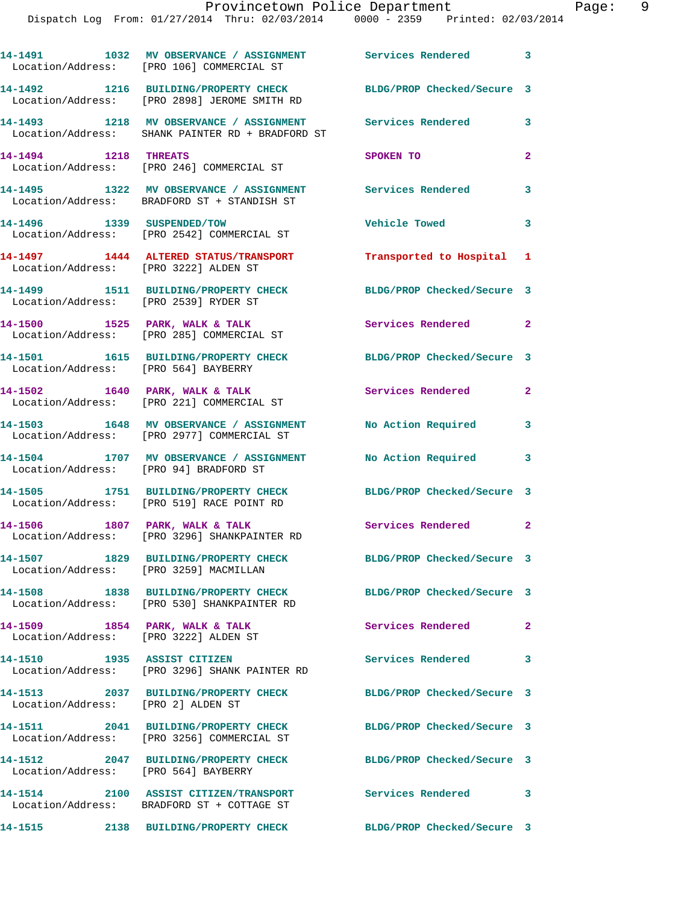**14-1491 1032 MV OBSERVANCE / ASSIGNMENT Services Rendered 3**  Location/Address: [PRO 106] COMMERCIAL ST **14-1492 1216 BUILDING/PROPERTY CHECK BLDG/PROP Checked/Secure 3**  Location/Address: [PRO 2898] JEROME SMITH RD **14-1493 1218 MV OBSERVANCE / ASSIGNMENT Services Rendered 3**  Location/Address: SHANK PAINTER RD + BRADFORD ST **14-1494 1218 THREATS SPOKEN TO 2**  Location/Address: [PRO 246] COMMERCIAL ST **14-1495 1322 MV OBSERVANCE / ASSIGNMENT Services Rendered 3**  Location/Address: BRADFORD ST + STANDISH ST **14-1496 1339 SUSPENDED/TOW Vehicle Towed 3**  Location/Address: [PRO 2542] COMMERCIAL ST **14-1497 1444 ALTERED STATUS/TRANSPORT Transported to Hospital 1**  Location/Address: [PRO 3222] ALDEN ST **14-1499 1511 BUILDING/PROPERTY CHECK BLDG/PROP Checked/Secure 3**  Location/Address: [PRO 2539] RYDER ST 14-1500 1525 PARK, WALK & TALK **Services Rendered** 2 Location/Address: [PRO 285] COMMERCIAL ST **14-1501 1615 BUILDING/PROPERTY CHECK BLDG/PROP Checked/Secure 3**  Location/Address: [PRO 564] BAYBERRY **14-1502 1640 PARK, WALK & TALK Services Rendered 2**  Location/Address: [PRO 221] COMMERCIAL ST **14-1503 1648 MV OBSERVANCE / ASSIGNMENT No Action Required 3**  Location/Address: [PRO 2977] COMMERCIAL ST **14-1504 1707 MV OBSERVANCE / ASSIGNMENT No Action Required 3**  Location/Address: [PRO 94] BRADFORD ST **14-1505 1751 BUILDING/PROPERTY CHECK BLDG/PROP Checked/Secure 3**  Location/Address: [PRO 519] RACE POINT RD 14-1506 1807 PARK, WALK & TALK **Services Rendered** 2 Location/Address: [PRO 3296] SHANKPAINTER RD **14-1507 1829 BUILDING/PROPERTY CHECK BLDG/PROP Checked/Secure 3**  Location/Address: [PRO 3259] MACMILLAN **14-1508 1838 BUILDING/PROPERTY CHECK BLDG/PROP Checked/Secure 3**  Location/Address: [PRO 530] SHANKPAINTER RD 14-1509 **1854 PARK, WALK & TALK Services Rendered** 2 Location/Address: [PRO 3222] ALDEN ST **14-1510 1935 ASSIST CITIZEN Services Rendered 3**  Location/Address: [PRO 3296] SHANK PAINTER RD **14-1513 2037 BUILDING/PROPERTY CHECK BLDG/PROP Checked/Secure 3**  Location/Address: [PRO 2] ALDEN ST **14-1511 2041 BUILDING/PROPERTY CHECK BLDG/PROP Checked/Secure 3**  Location/Address: [PRO 3256] COMMERCIAL ST **14-1512 2047 BUILDING/PROPERTY CHECK BLDG/PROP Checked/Secure 3**  Location/Address: [PRO 564] BAYBERRY **14-1514 2100 ASSIST CITIZEN/TRANSPORT Services Rendered 3**  Location/Address: BRADFORD ST + COTTAGE ST

**14-1515 2138 BUILDING/PROPERTY CHECK BLDG/PROP Checked/Secure 3**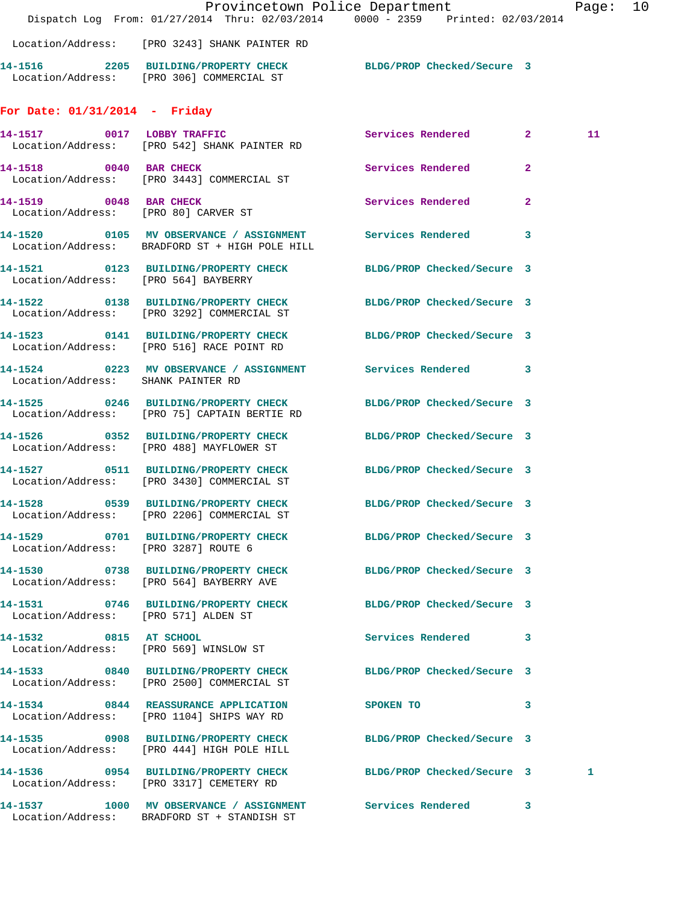|                                      | Dispatch Log From: 01/27/2014 Thru: 02/03/2014 0000 - 2359 Printed: 02/03/2014                                      | Provincetown Police Department | Page: | 10 |
|--------------------------------------|---------------------------------------------------------------------------------------------------------------------|--------------------------------|-------|----|
|                                      | Location/Address: [PRO 3243] SHANK PAINTER RD                                                                       |                                |       |    |
|                                      | 14-1516 2205 BUILDING/PROPERTY CHECK BLDG/PROP Checked/Secure 3<br>Location/Address: [PRO 306] COMMERCIAL ST        |                                |       |    |
| For Date: $01/31/2014$ - Friday      |                                                                                                                     |                                |       |    |
|                                      | 14-1517 0017 LOBBY TRAFFIC<br>Location/Address: [PRO 542] SHANK PAINTER RD                                          | Services Rendered 2            | 11    |    |
|                                      | 14-1518 0040 BAR CHECK<br>Location/Address: [PRO 3443] COMMERCIAL ST                                                | Services Rendered 2            |       |    |
| 14-1519 0048 BAR CHECK               | Location/Address: [PRO 80] CARVER ST                                                                                | Services Rendered 2            |       |    |
|                                      | 14-1520 0105 MV OBSERVANCE / ASSIGNMENT Services Rendered 3<br>Location/Address: BRADFORD ST + HIGH POLE HILL       |                                |       |    |
| Location/Address: [PRO 564] BAYBERRY | 14-1521 0123 BUILDING/PROPERTY CHECK BLDG/PROP Checked/Secure 3                                                     |                                |       |    |
|                                      | 14-1522 0138 BUILDING/PROPERTY CHECK<br>Location/Address: [PRO 3292] COMMERCIAL ST                                  | BLDG/PROP Checked/Secure 3     |       |    |
|                                      | 14-1523 0141 BUILDING/PROPERTY CHECK BLDG/PROP Checked/Secure 3<br>Location/Address: [PRO 516] RACE POINT RD        |                                |       |    |
|                                      | 14-1524 0223 MV OBSERVANCE / ASSIGNMENT Services Rendered 3<br>Location/Address: SHANK PAINTER RD                   |                                |       |    |
|                                      | 14-1525 0246 BUILDING/PROPERTY CHECK<br>Location/Address: [PRO 75] CAPTAIN BERTIE RD                                | BLDG/PROP Checked/Secure 3     |       |    |
|                                      | 14-1526 0352 BUILDING/PROPERTY CHECK<br>Location/Address: [PRO 488] MAYFLOWER ST                                    | BLDG/PROP Checked/Secure 3     |       |    |
|                                      | 14-1527 0511 BUILDING/PROPERTY CHECK<br>Location/Address: [PRO 3430] COMMERCIAL ST                                  | BLDG/PROP Checked/Secure 3     |       |    |
|                                      | 14-1528 		 0539 BUILDING/PROPERTY CHECK 			BLDG/PROP Checked/Secure 3<br>Location/Address: [PRO 2206] COMMERCIAL ST |                                |       |    |
| Location/Address: [PRO 3287] ROUTE 6 | 14-1529 0701 BUILDING/PROPERTY CHECK BLDG/PROP Checked/Secure 3                                                     |                                |       |    |
|                                      | 14-1530 0738 BUILDING/PROPERTY CHECK BLDG/PROP Checked/Secure 3<br>Location/Address: [PRO 564] BAYBERRY AVE         |                                |       |    |
| Location/Address: [PRO 571] ALDEN ST | 14-1531 0746 BUILDING/PROPERTY CHECK BLDG/PROP Checked/Secure 3                                                     |                                |       |    |
|                                      | 14-1532 0815 AT SCHOOL<br>Location/Address: [PRO 569] WINSLOW ST                                                    | Services Rendered 3            |       |    |
|                                      | 14-1533 0840 BUILDING/PROPERTY CHECK BLDG/PROP Checked/Secure 3<br>Location/Address: [PRO 2500] COMMERCIAL ST       |                                |       |    |
|                                      | 14-1534 0844 REASSURANCE APPLICATION SPOKEN TO<br>Location/Address: [PRO 1104] SHIPS WAY RD                         | $\sim$ 3                       |       |    |
|                                      | 14-1535 0908 BUILDING/PROPERTY CHECK BLDG/PROP Checked/Secure 3<br>Location/Address: [PRO 444] HIGH POLE HILL       |                                |       |    |
|                                      | 14-1536 0954 BUILDING/PROPERTY CHECK BLDG/PROP Checked/Secure 3<br>Location/Address: [PRO 3317] CEMETERY RD         |                                | 1     |    |
|                                      | 14-1537 1000 MV OBSERVANCE / ASSIGNMENT Services Rendered 3<br>Location/Address: BRADFORD ST + STANDISH ST          |                                |       |    |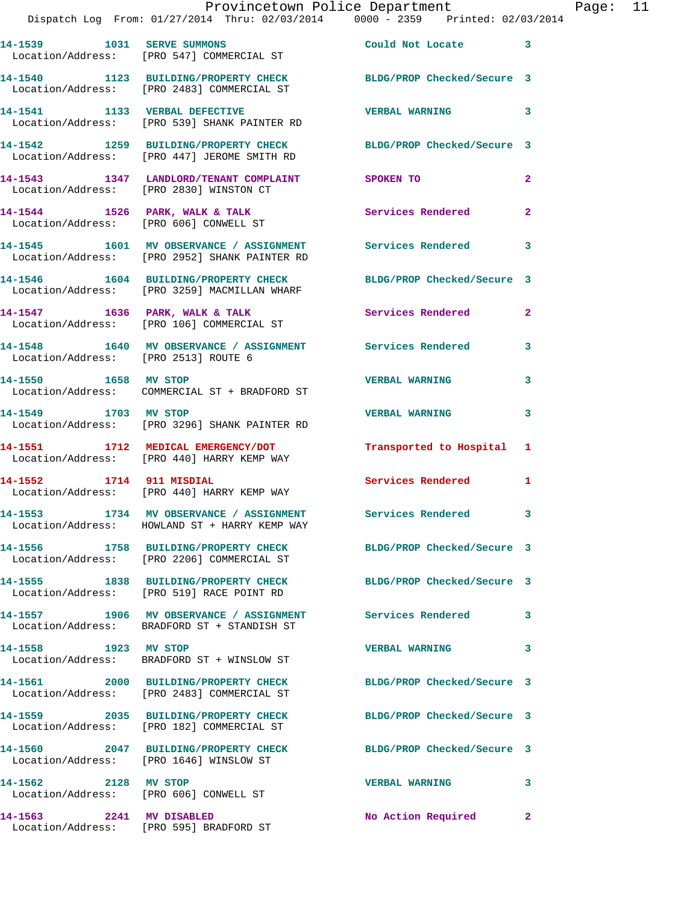|                                      | Provincetown Police Department<br>Dispatch Log From: 01/27/2014 Thru: 02/03/2014 0000 - 2359 Printed: 02/03/2014 |                            |                |
|--------------------------------------|------------------------------------------------------------------------------------------------------------------|----------------------------|----------------|
|                                      |                                                                                                                  |                            |                |
|                                      | 14-1539 1031 SERVE SUMMONS<br>Location/Address: [PRO 547] COMMERCIAL ST                                          | Could Not Locate           | 3              |
|                                      | 14-1540 1123 BUILDING/PROPERTY CHECK BLDG/PROP Checked/Secure 3<br>Location/Address: [PRO 2483] COMMERCIAL ST    |                            |                |
|                                      | 14-1541 1133 VERBAL DEFECTIVE<br>Location/Address: [PRO 539] SHANK PAINTER RD                                    | <b>VERBAL WARNING</b>      | 3              |
|                                      | 14-1542 1259 BUILDING/PROPERTY CHECK BLDG/PROP Checked/Secure 3<br>Location/Address: [PRO 447] JEROME SMITH RD   |                            |                |
|                                      | 14-1543 1347 LANDLORD/TENANT COMPLAINT SPOKEN TO<br>Location/Address: [PRO 2830] WINSTON CT                      |                            | $\overline{a}$ |
|                                      | 14-1544 1526 PARK, WALK & TALK<br>Location/Address: [PRO 606] CONWELL ST                                         | Services Rendered          | $\mathbf{2}$   |
|                                      | 14-1545 1601 MV OBSERVANCE / ASSIGNMENT Services Rendered<br>Location/Address: [PRO 2952] SHANK PAINTER RD       |                            | 3              |
|                                      | 14-1546 1604 BUILDING/PROPERTY CHECK BLDG/PROP Checked/Secure 3<br>Location/Address: [PRO 3259] MACMILLAN WHARF  |                            |                |
|                                      | 14-1547 1636 PARK, WALK & TALK<br>Location/Address: [PRO 106] COMMERCIAL ST                                      | <b>Services Rendered</b>   | $\overline{2}$ |
| Location/Address: [PRO 2513] ROUTE 6 | 14-1548 1640 MV OBSERVANCE / ASSIGNMENT Services Rendered                                                        |                            | 3              |
| 14-1550 1658 MV STOP                 | Location/Address: COMMERCIAL ST + BRADFORD ST                                                                    | <b>VERBAL WARNING</b>      | 3              |
| 14-1549 1703 MV STOP                 | Location/Address: [PRO 3296] SHANK PAINTER RD                                                                    | <b>VERBAL WARNING</b>      | 3              |
|                                      | 14-1551 1712 MEDICAL EMERGENCY/DOT<br>Location/Address: [PRO 440] HARRY KEMP WAY                                 | Transported to Hospital    | 1              |
|                                      | 14-1552 1714 911 MISDIAL<br>Location/Address: [PRO 440] HARRY KEMP WAY                                           | <b>Services Rendered</b>   | 1              |
|                                      | 14-1553 1734 MV OBSERVANCE / ASSIGNMENT<br>Location/Address: HOWLAND ST + HARRY KEMP WAY                         | Services Rendered 3        |                |
|                                      | 14-1556 1758 BUILDING/PROPERTY CHECK<br>Location/Address: [PRO 2206] COMMERCIAL ST                               | BLDG/PROP Checked/Secure 3 |                |
|                                      | 14-1555 1838 BUILDING/PROPERTY CHECK<br>Location/Address: [PRO 519] RACE POINT RD                                | BLDG/PROP Checked/Secure 3 |                |
|                                      | 14-1557 1906 MV OBSERVANCE / ASSIGNMENT Services Rendered<br>Location/Address: BRADFORD ST + STANDISH ST         |                            | 3              |
| 14-1558 1923 MV STOP                 | Location/Address: BRADFORD ST + WINSLOW ST                                                                       | <b>VERBAL WARNING</b>      | 3              |
|                                      | 14-1561 2000 BUILDING/PROPERTY CHECK<br>Location/Address: [PRO 2483] COMMERCIAL ST                               | BLDG/PROP Checked/Secure 3 |                |
|                                      | 14-1559 2035 BUILDING/PROPERTY CHECK<br>Location/Address: [PRO 182] COMMERCIAL ST                                | BLDG/PROP Checked/Secure 3 |                |
|                                      | 14-1560 2047 BUILDING/PROPERTY CHECK<br>Location/Address: [PRO 1646] WINSLOW ST                                  | BLDG/PROP Checked/Secure 3 |                |
| 2128 MV STOP<br>14-1562              | Location/Address: [PRO 606] CONWELL ST                                                                           | <b>VERBAL WARNING</b>      | 3              |
| 14-1563    2241 MV DISABLED          |                                                                                                                  | No Action Required         | $\mathbf{2}$   |

Location/Address: [PRO 595] BRADFORD ST

Page: 11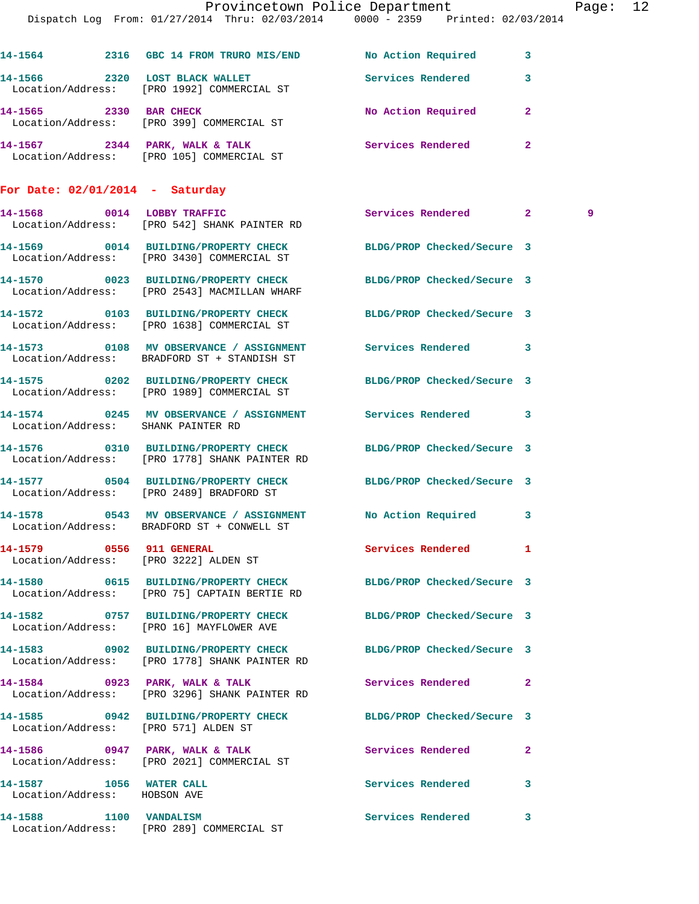|                                   | Provincetown Police Department The Page: 12                                                                      |                            |                         |   |  |
|-----------------------------------|------------------------------------------------------------------------------------------------------------------|----------------------------|-------------------------|---|--|
|                                   | Dispatch Log From: 01/27/2014 Thru: 02/03/2014 0000 - 2359 Printed: 02/03/2014                                   |                            |                         |   |  |
|                                   |                                                                                                                  |                            |                         |   |  |
|                                   | 14-1564 2316 GBC 14 FROM TRURO MIS/END No Action Required 3                                                      |                            |                         |   |  |
|                                   | 14-1566 2320 LOST BLACK WALLET<br>Location/Address: [PRO 1992] COMMERCIAL ST                                     | <b>Services Rendered</b>   | $\overline{\mathbf{3}}$ |   |  |
| 14-1565 2330 BAR CHECK            | Location/Address: [PRO 399] COMMERCIAL ST                                                                        | No Action Required 2       |                         |   |  |
|                                   | 14-1567 2344 PARK, WALK & TALK 2 Services Rendered 2<br>Location/Address: [PRO 105] COMMERCIAL ST                |                            |                         |   |  |
| For Date: $02/01/2014$ - Saturday |                                                                                                                  |                            |                         |   |  |
|                                   | 14-1568 0014 LOBBY TRAFFIC<br>Location/Address: [PRO 542] SHANK PAINTER RD                                       | Services Rendered 2        |                         | 9 |  |
|                                   | 14-1569 0014 BUILDING/PROPERTY CHECK BLDG/PROP Checked/Secure 3<br>Location/Address: [PRO 3430] COMMERCIAL ST    |                            |                         |   |  |
|                                   | 14-1570 0023 BUILDING/PROPERTY CHECK<br>Location/Address: [PRO 2543] MACMILLAN WHARF                             | BLDG/PROP Checked/Secure 3 |                         |   |  |
|                                   | 14-1572 0103 BUILDING/PROPERTY CHECK BLDG/PROP Checked/Secure 3<br>Location/Address: [PRO 1638] COMMERCIAL ST    |                            |                         |   |  |
|                                   | Location/Address: BRADFORD ST + STANDISH ST                                                                      |                            |                         |   |  |
|                                   | 14-1575 0202 BUILDING/PROPERTY CHECK BLDG/PROP Checked/Secure 3<br>Location/Address: [PRO 1989] COMMERCIAL ST    |                            |                         |   |  |
|                                   | 14-1574 0245 MV OBSERVANCE / ASSIGNMENT Services Rendered 3<br>Location/Address: SHANK PAINTER RD                |                            |                         |   |  |
|                                   | 14-1576 0310 BUILDING/PROPERTY CHECK BLDG/PROP Checked/Secure 3<br>Location/Address: [PRO 1778] SHANK PAINTER RD |                            |                         |   |  |
|                                   |                                                                                                                  |                            |                         |   |  |

**14-1577 0504 BUILDING/PROPERTY CHECK BLDG/PROP Checked/Secure 3**  Location/Address: [PRO 2489] BRADFORD ST

**14-1578 0543 MV OBSERVANCE / ASSIGNMENT No Action Required 3**  Location/Address: BRADFORD ST + CONWELL ST

Location/Address: [PRO 3222] ALDEN ST

**14-1580 0615 BUILDING/PROPERTY CHECK BLDG/PROP Checked/Secure 3**  Location/Address: [PRO 75] CAPTAIN BERTIE RD

Location/Address: [PRO 16] MAYFLOWER AVE

Location/Address: [PRO 1778] SHANK PAINTER RD

Location/Address: [PRO 3296] SHANK PAINTER RD

Location/Address: [PRO 571] ALDEN ST

Location/Address: [PRO 2021] COMMERCIAL ST

Location/Address: HOBSON AVE

Location/Address: [PRO 289] COMMERCIAL ST

14-1579 0556 911 GENERAL Services Rendered 1

**14-1582 0757 BUILDING/PROPERTY CHECK BLDG/PROP Checked/Secure 3** 

**14-1583 0902 BUILDING/PROPERTY CHECK BLDG/PROP Checked/Secure 3** 

**14-1584 0923 PARK, WALK & TALK Services Rendered 2** 

**14-1585 0942 BUILDING/PROPERTY CHECK BLDG/PROP Checked/Secure 3** 

**14-1586 0947 PARK, WALK & TALK Services Rendered 2**  14-1587 1056 WATER CALL **14-1587** Services Rendered 3

**14-1588 1100 VANDALISM Services Rendered 3**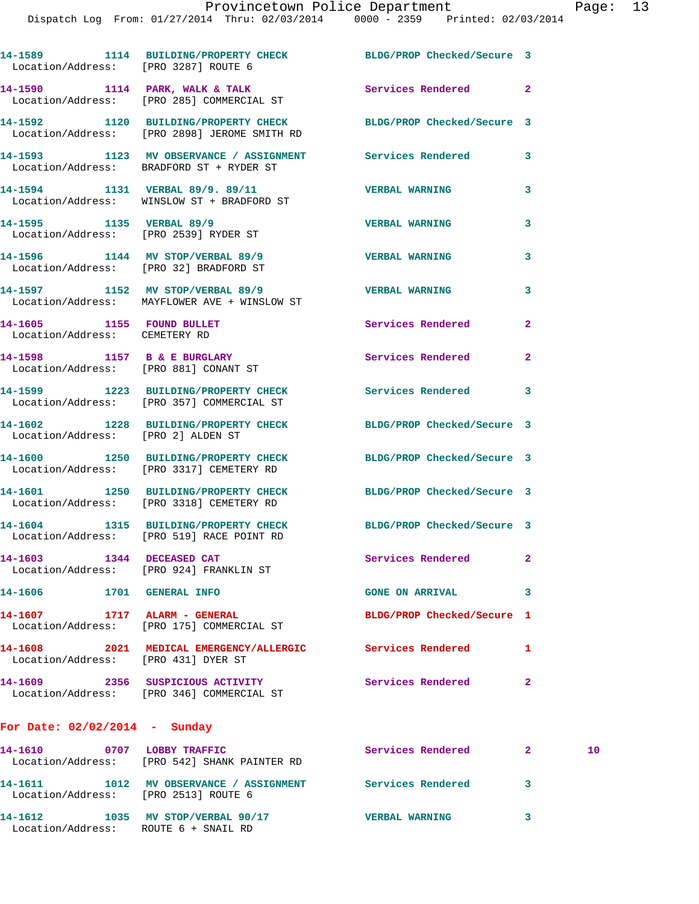| Location/Address: [PRO 3287] ROUTE 6                       | 14-1589 1114 BUILDING/PROPERTY CHECK BLDG/PROP Checked/Secure 3                                                 |                            |                |    |
|------------------------------------------------------------|-----------------------------------------------------------------------------------------------------------------|----------------------------|----------------|----|
|                                                            | 14-1590 1114 PARK, WALK & TALK STARE Services Rendered 2<br>Location/Address: [PRO 285] COMMERCIAL ST           |                            |                |    |
|                                                            | 14-1592 1120 BUILDING/PROPERTY CHECK BLDG/PROP Checked/Secure 3<br>Location/Address: [PRO 2898] JEROME SMITH RD |                            |                |    |
|                                                            | 14-1593 1123 MV OBSERVANCE / ASSIGNMENT Services Rendered<br>Location/Address: BRADFORD ST + RYDER ST           |                            | 3              |    |
|                                                            | 14-1594 1131 VERBAL 89/9. 89/11<br>Location/Address: WINSLOW ST + BRADFORD ST                                   | <b>VERBAL WARNING</b>      | 3              |    |
|                                                            | 14-1595 1135 VERBAL 89/9<br>Location/Address: [PRO 2539] RYDER ST                                               |                            | 3              |    |
|                                                            | 14-1596 1144 MV STOP/VERBAL 89/9 STREAL WARNING<br>Location/Address: [PRO 32] BRADFORD ST                       |                            | 3              |    |
|                                                            | 14-1597 1152 MV STOP/VERBAL 89/9 2000 VERBAL WARNING<br>Location/Address: MAYFLOWER AVE + WINSLOW ST            |                            | 3              |    |
| 14-1605 1155 FOUND BULLET<br>Location/Address: CEMETERY RD |                                                                                                                 | Services Rendered          | $\overline{2}$ |    |
|                                                            | 14-1598 1157 B & E BURGLARY<br>Location/Address: [PRO 881] CONANT ST                                            | Services Rendered          | $\mathbf{2}$   |    |
|                                                            | 14-1599 1223 BUILDING/PROPERTY CHECK Services Rendered<br>Location/Address: [PRO 357] COMMERCIAL ST             |                            | 3              |    |
| Location/Address: [PRO 2] ALDEN ST                         | 14-1602 1228 BUILDING/PROPERTY CHECK BLDG/PROP Checked/Secure 3                                                 |                            |                |    |
|                                                            | 14-1600 1250 BUILDING/PROPERTY CHECK BLDG/PROP Checked/Secure 3<br>Location/Address: [PRO 3317] CEMETERY RD     |                            |                |    |
|                                                            | 14-1601 1250 BUILDING/PROPERTY CHECK BLDG/PROP Checked/Secure 3<br>Location/Address: [PRO 3318] CEMETERY RD     |                            |                |    |
|                                                            | 14-1604 1315 BUILDING/PROPERTY CHECK BLDG/PROP Checked/Secure 3<br>Location/Address: [PRO 519] RACE POINT RD    |                            |                |    |
| 14-1603 1344 DECEASED CAT                                  | Location/Address: [PRO 924] FRANKLIN ST                                                                         | Services Rendered          | $\mathbf{2}$   |    |
| 14-1606 1701 GENERAL INFO                                  |                                                                                                                 | <b>GONE ON ARRIVAL</b>     | 3              |    |
|                                                            | 14-1607 1717 ALARM - GENERAL<br>Location/Address: [PRO 175] COMMERCIAL ST                                       | BLDG/PROP Checked/Secure 1 |                |    |
| Location/Address: [PRO 431] DYER ST                        | 14-1608 2021 MEDICAL EMERGENCY/ALLERGIC Services Rendered                                                       |                            | 1              |    |
|                                                            | 14-1609 2356 SUSPICIOUS ACTIVITY<br>Location/Address: [PRO 346] COMMERCIAL ST                                   | <b>Services Rendered</b>   | $\mathbf{2}$   |    |
| For Date: $02/02/2014$ - Sunday                            |                                                                                                                 |                            |                |    |
|                                                            | 14-1610 0707 LOBBY TRAFFIC<br>Location/Address: [PRO 542] SHANK PAINTER RD                                      | <b>Services Rendered</b>   | $\mathbf{2}$   | 10 |
| Location/Address: [PRO 2513] ROUTE 6                       | 14-1611 1012 MV OBSERVANCE / ASSIGNMENT Services Rendered                                                       |                            | 3              |    |
|                                                            |                                                                                                                 |                            |                |    |

**14-1612 1035 MV STOP/VERBAL 90/17 VERBAL WARNING 3** 

Location/Address: ROUTE 6 + SNAIL RD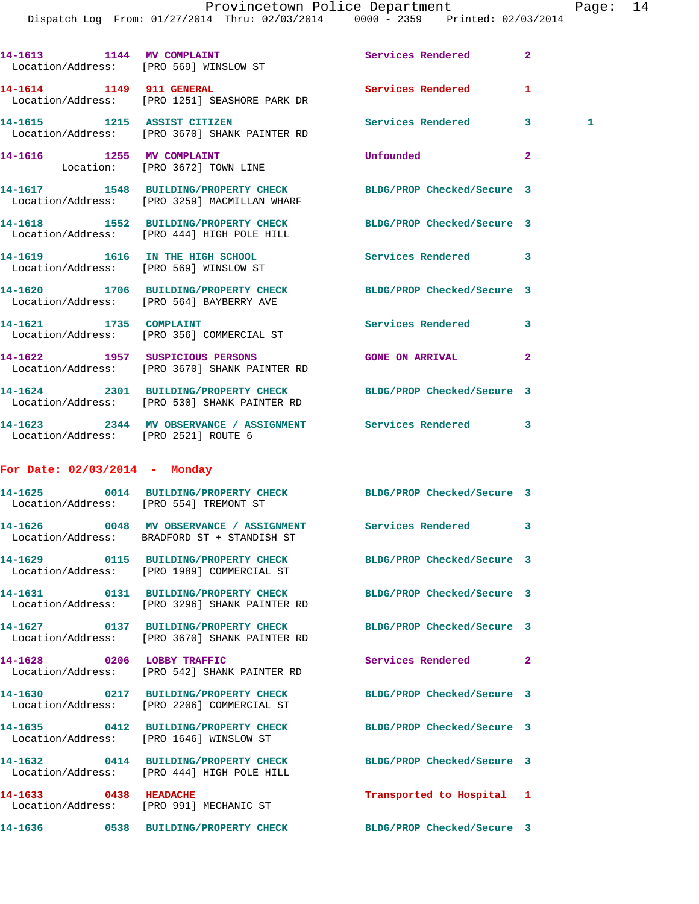|                                                             | Dispatch Log From: 01/27/2014 Thru: 02/03/2014 0000 - 2359 Printed: 02/03/2014                                  |                            |                |
|-------------------------------------------------------------|-----------------------------------------------------------------------------------------------------------------|----------------------------|----------------|
| 14-1613 1144 MV COMPLAINT                                   | Location/Address: [PRO 569] WINSLOW ST                                                                          | <b>Services Rendered</b>   | $\overline{2}$ |
|                                                             | 14-1614 1149 911 GENERAL<br>Location/Address: [PRO 1251] SEASHORE PARK DR                                       | <b>Services Rendered</b>   | 1              |
|                                                             | 14-1615 1215 ASSIST CITIZEN<br>Location/Address: [PRO 3670] SHANK PAINTER RD                                    | <b>Services Rendered</b>   | 3<br>1         |
| 14-1616 1255 MV COMPLAINT<br>Location: [PRO 3672] TOWN LINE |                                                                                                                 | Unfounded                  | $\mathbf{2}$   |
|                                                             | 14-1617 1548 BUILDING/PROPERTY CHECK BLDG/PROP Checked/Secure 3<br>Location/Address: [PRO 3259] MACMILLAN WHARF |                            |                |
|                                                             | 14-1618 1552 BUILDING/PROPERTY CHECK BLDG/PROP Checked/Secure 3<br>Location/Address: [PRO 444] HIGH POLE HILL   |                            |                |
|                                                             | 14-1619 1616 IN THE HIGH SCHOOL<br>Location/Address: [PRO 569] WINSLOW ST                                       | Services Rendered          | $\mathbf{3}$   |
|                                                             | 14-1620 1706 BUILDING/PROPERTY CHECK BLDG/PROP Checked/Secure 3<br>Location/Address: [PRO 564] BAYBERRY AVE     |                            |                |
| 14-1621 1735 COMPLAINT                                      | Location/Address: [PRO 356] COMMERCIAL ST                                                                       | Services Rendered          | 3              |
|                                                             | 14-1622 1957 SUSPICIOUS PERSONS<br>Location/Address: [PRO 3670] SHANK PAINTER RD                                | <b>GONE ON ARRIVAL</b>     | $\overline{a}$ |
|                                                             | 14-1624 2301 BUILDING/PROPERTY CHECK BLDG/PROP Checked/Secure 3<br>Location/Address: [PRO 530] SHANK PAINTER RD |                            |                |
| Location/Address: [PRO 2521] ROUTE 6                        | 14-1623 2344 MV OBSERVANCE / ASSIGNMENT Services Rendered 3                                                     |                            |                |
| For Date: $02/03/2014$ - Monday                             |                                                                                                                 |                            |                |
| Location/Address: [PRO 554] TREMONT ST                      | 14-1625 0014 BUILDING/PROPERTY CHECK BLDG/PROP Checked/Secure 3                                                 |                            |                |
|                                                             | Location/Address: BRADFORD ST + STANDISH ST                                                                     |                            |                |
|                                                             | 14-1629 0115 BUILDING/PROPERTY CHECK<br>Location/Address: [PRO 1989] COMMERCIAL ST                              | BLDG/PROP Checked/Secure 3 |                |
|                                                             | 14-1631 0131 BUILDING/PROPERTY CHECK<br>Location/Address: [PRO 3296] SHANK PAINTER RD                           | BLDG/PROP Checked/Secure 3 |                |
|                                                             | 14-1627 0137 BUILDING/PROPERTY CHECK<br>Location/Address: [PRO 3670] SHANK PAINTER RD                           | BLDG/PROP Checked/Secure 3 |                |
| 14-1628 0206 LOBBY TRAFFIC                                  | Location/Address: [PRO 542] SHANK PAINTER RD                                                                    | Services Rendered          | $\mathbf{2}$   |
|                                                             | 14-1630 0217 BUILDING/PROPERTY CHECK<br>Location/Address: [PRO 2206] COMMERCIAL ST                              | BLDG/PROP Checked/Secure 3 |                |
|                                                             | 14-1635 0412 BUILDING/PROPERTY CHECK<br>Location/Address: [PRO 1646] WINSLOW ST                                 | BLDG/PROP Checked/Secure 3 |                |
|                                                             | 14-1632 0414 BUILDING/PROPERTY CHECK<br>Location/Address: [PRO 444] HIGH POLE HILL                              | BLDG/PROP Checked/Secure 3 |                |
| 14-1633 0438 HEADACHE                                       | Location/Address: [PRO 991] MECHANIC ST                                                                         | Transported to Hospital 1  |                |
|                                                             | 14-1636 6538 BUILDING/PROPERTY CHECK BLDG/PROP Checked/Secure 3                                                 |                            |                |